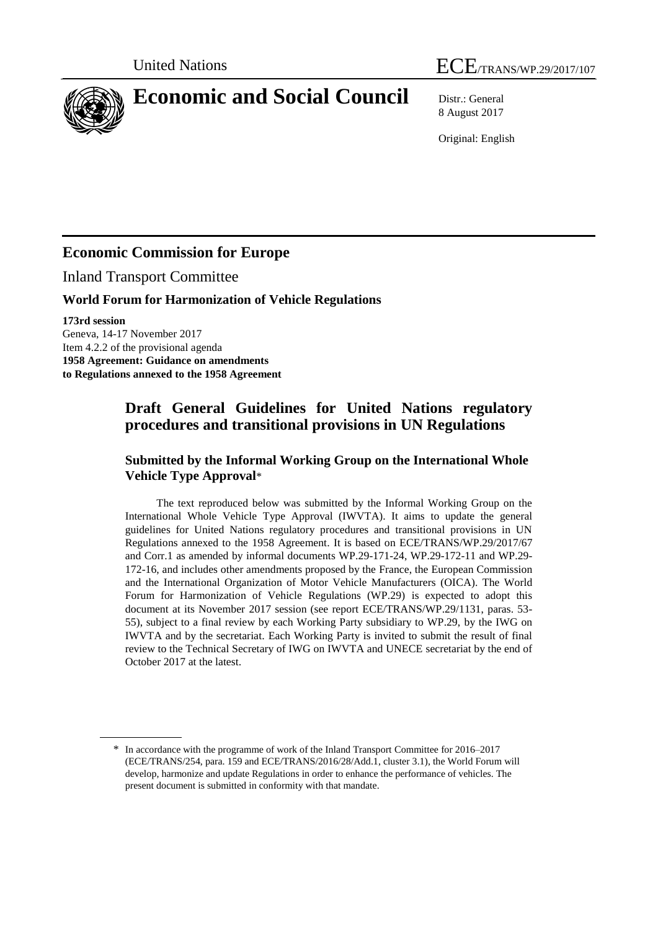



# **Economic and Social Council** Distr.: General

8 August 2017

Original: English

# **Economic Commission for Europe**

Inland Transport Committee

### **World Forum for Harmonization of Vehicle Regulations**

**173rd session** Geneva, 14-17 November 2017 Item 4.2.2 of the provisional agenda **1958 Agreement: Guidance on amendments to Regulations annexed to the 1958 Agreement**

# **Draft General Guidelines for United Nations regulatory procedures and transitional provisions in UN Regulations**

### **Submitted by the Informal Working Group on the International Whole Vehicle Type Approval**\*

The text reproduced below was submitted by the Informal Working Group on the International Whole Vehicle Type Approval (IWVTA). It aims to update the general guidelines for United Nations regulatory procedures and transitional provisions in UN Regulations annexed to the 1958 Agreement. It is based on ECE/TRANS/WP.29/2017/67 and Corr.1 as amended by informal documents WP.29-171-24, WP.29-172-11 and WP.29- 172-16, and includes other amendments proposed by the France, the European Commission and the International Organization of Motor Vehicle Manufacturers (OICA). The World Forum for Harmonization of Vehicle Regulations (WP.29) is expected to adopt this document at its November 2017 session (see report ECE/TRANS/WP.29/1131, paras. 53- 55), subject to a final review by each Working Party subsidiary to WP.29, by the IWG on IWVTA and by the secretariat. Each Working Party is invited to submit the result of final review to the Technical Secretary of IWG on IWVTA and UNECE secretariat by the end of October 2017 at the latest.

<sup>\*</sup> In accordance with the programme of work of the Inland Transport Committee for 2016–2017 (ECE/TRANS/254, para. 159 and ECE/TRANS/2016/28/Add.1, cluster 3.1), the World Forum will develop, harmonize and update Regulations in order to enhance the performance of vehicles. The present document is submitted in conformity with that mandate.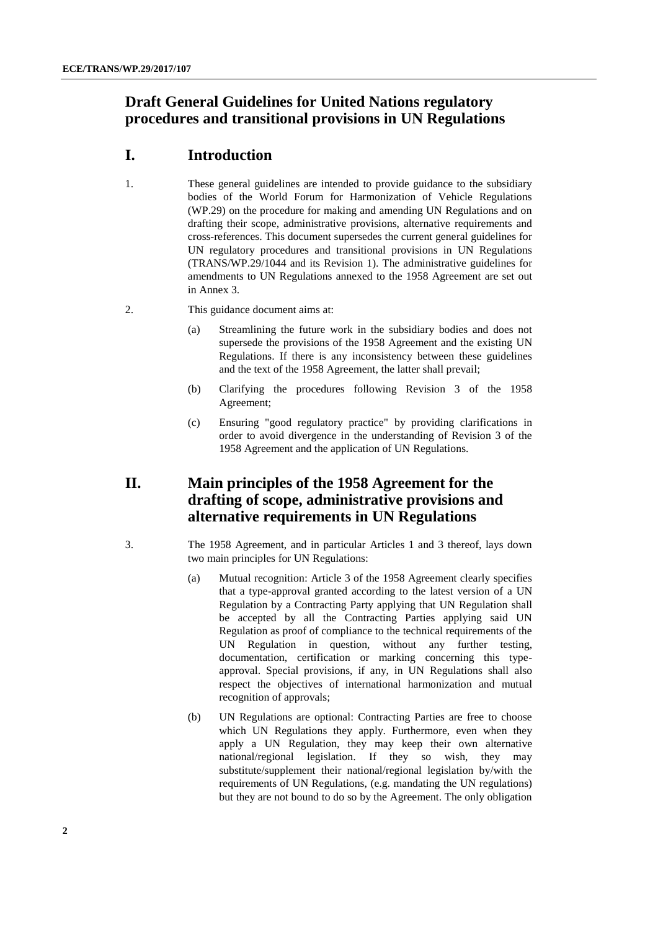# **Draft General Guidelines for United Nations regulatory procedures and transitional provisions in UN Regulations**

### **I. Introduction**

- 1. These general guidelines are intended to provide guidance to the subsidiary bodies of the World Forum for Harmonization of Vehicle Regulations (WP.29) on the procedure for making and amending UN Regulations and on drafting their scope, administrative provisions, alternative requirements and cross-references. This document supersedes the current general guidelines for UN regulatory procedures and transitional provisions in UN Regulations (TRANS/WP.29/1044 and its Revision 1). The administrative guidelines for amendments to UN Regulations annexed to the 1958 Agreement are set out in Annex 3.
- 2. This guidance document aims at:
	- (a) Streamlining the future work in the subsidiary bodies and does not supersede the provisions of the 1958 Agreement and the existing UN Regulations. If there is any inconsistency between these guidelines and the text of the 1958 Agreement, the latter shall prevail;
	- (b) Clarifying the procedures following Revision 3 of the 1958 Agreement;
	- (c) Ensuring "good regulatory practice" by providing clarifications in order to avoid divergence in the understanding of Revision 3 of the 1958 Agreement and the application of UN Regulations.

# **II. Main principles of the 1958 Agreement for the drafting of scope, administrative provisions and alternative requirements in UN Regulations**

- 3. The 1958 Agreement, and in particular Articles 1 and 3 thereof, lays down two main principles for UN Regulations:
	- (a) Mutual recognition: Article 3 of the 1958 Agreement clearly specifies that a type-approval granted according to the latest version of a UN Regulation by a Contracting Party applying that UN Regulation shall be accepted by all the Contracting Parties applying said UN Regulation as proof of compliance to the technical requirements of the UN Regulation in question, without any further testing, documentation, certification or marking concerning this typeapproval. Special provisions, if any, in UN Regulations shall also respect the objectives of international harmonization and mutual recognition of approvals;
	- (b) UN Regulations are optional: Contracting Parties are free to choose which UN Regulations they apply. Furthermore, even when they apply a UN Regulation, they may keep their own alternative national/regional legislation. If they so wish, they may substitute/supplement their national/regional legislation by/with the requirements of UN Regulations, (e.g. mandating the UN regulations) but they are not bound to do so by the Agreement. The only obligation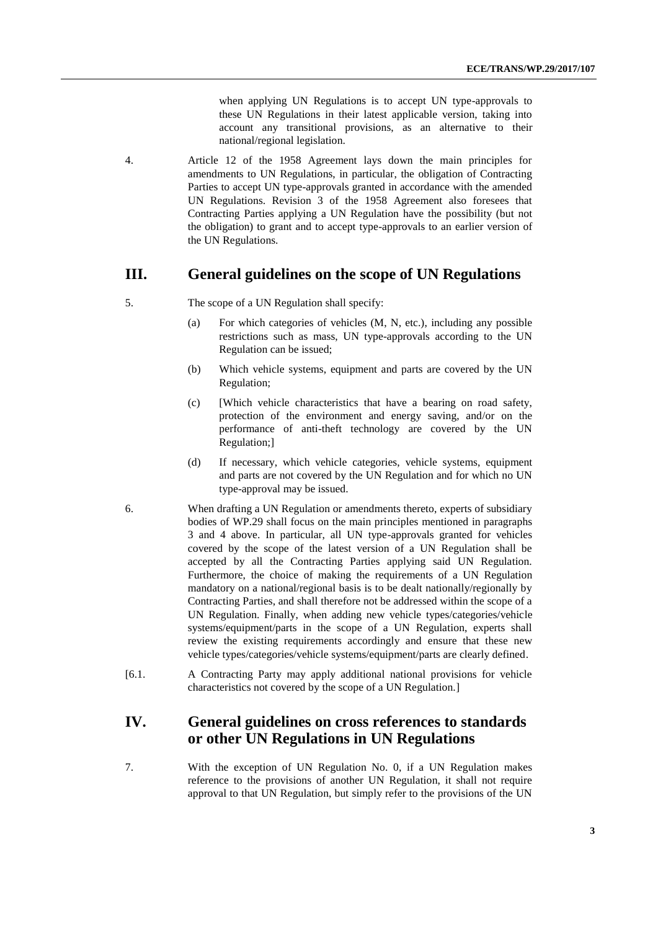when applying UN Regulations is to accept UN type-approvals to these UN Regulations in their latest applicable version, taking into account any transitional provisions, as an alternative to their national/regional legislation.

4. Article 12 of the 1958 Agreement lays down the main principles for amendments to UN Regulations, in particular, the obligation of Contracting Parties to accept UN type-approvals granted in accordance with the amended UN Regulations. Revision 3 of the 1958 Agreement also foresees that Contracting Parties applying a UN Regulation have the possibility (but not the obligation) to grant and to accept type-approvals to an earlier version of the UN Regulations.

### **III. General guidelines on the scope of UN Regulations**

- 5. The scope of a UN Regulation shall specify:
	- (a) For which categories of vehicles (M, N, etc.), including any possible restrictions such as mass, UN type-approvals according to the UN Regulation can be issued;
	- (b) Which vehicle systems, equipment and parts are covered by the UN Regulation;
	- (c) [Which vehicle characteristics that have a bearing on road safety, protection of the environment and energy saving, and/or on the performance of anti-theft technology are covered by the UN Regulation;]
	- (d) If necessary, which vehicle categories, vehicle systems, equipment and parts are not covered by the UN Regulation and for which no UN type-approval may be issued.
- 6. When drafting a UN Regulation or amendments thereto, experts of subsidiary bodies of WP.29 shall focus on the main principles mentioned in paragraphs 3 and 4 above. In particular, all UN type-approvals granted for vehicles covered by the scope of the latest version of a UN Regulation shall be accepted by all the Contracting Parties applying said UN Regulation. Furthermore, the choice of making the requirements of a UN Regulation mandatory on a national/regional basis is to be dealt nationally/regionally by Contracting Parties, and shall therefore not be addressed within the scope of a UN Regulation. Finally, when adding new vehicle types/categories/vehicle systems/equipment/parts in the scope of a UN Regulation, experts shall review the existing requirements accordingly and ensure that these new vehicle types/categories/vehicle systems/equipment/parts are clearly defined.
- [6.1. A Contracting Party may apply additional national provisions for vehicle characteristics not covered by the scope of a UN Regulation.]

## **IV. General guidelines on cross references to standards or other UN Regulations in UN Regulations**

7. With the exception of UN Regulation No. 0, if a UN Regulation makes reference to the provisions of another UN Regulation, it shall not require approval to that UN Regulation, but simply refer to the provisions of the UN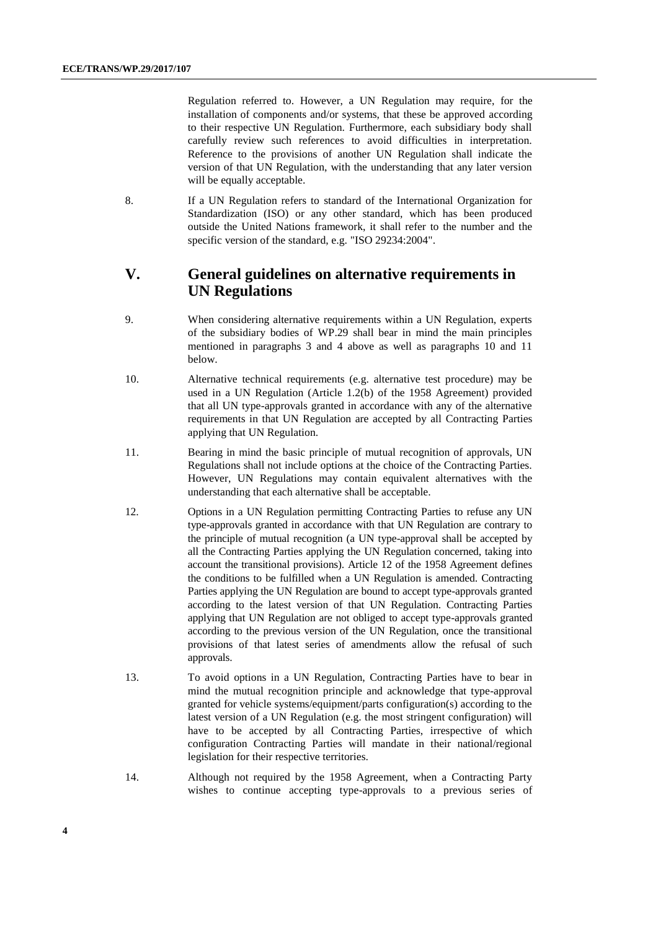Regulation referred to. However, a UN Regulation may require, for the installation of components and/or systems, that these be approved according to their respective UN Regulation. Furthermore, each subsidiary body shall carefully review such references to avoid difficulties in interpretation. Reference to the provisions of another UN Regulation shall indicate the version of that UN Regulation, with the understanding that any later version will be equally acceptable.

8. If a UN Regulation refers to standard of the International Organization for Standardization (ISO) or any other standard, which has been produced outside the United Nations framework, it shall refer to the number and the specific version of the standard, e.g. "ISO 29234:2004".

# **V. General guidelines on alternative requirements in UN Regulations**

- 9. When considering alternative requirements within a UN Regulation, experts of the subsidiary bodies of WP.29 shall bear in mind the main principles mentioned in paragraphs 3 and 4 above as well as paragraphs 10 and 11 below.
- 10. Alternative technical requirements (e.g. alternative test procedure) may be used in a UN Regulation (Article 1.2(b) of the 1958 Agreement) provided that all UN type-approvals granted in accordance with any of the alternative requirements in that UN Regulation are accepted by all Contracting Parties applying that UN Regulation.
- 11. Bearing in mind the basic principle of mutual recognition of approvals, UN Regulations shall not include options at the choice of the Contracting Parties. However, UN Regulations may contain equivalent alternatives with the understanding that each alternative shall be acceptable.
- 12. Options in a UN Regulation permitting Contracting Parties to refuse any UN type-approvals granted in accordance with that UN Regulation are contrary to the principle of mutual recognition (a UN type-approval shall be accepted by all the Contracting Parties applying the UN Regulation concerned, taking into account the transitional provisions). Article 12 of the 1958 Agreement defines the conditions to be fulfilled when a UN Regulation is amended. Contracting Parties applying the UN Regulation are bound to accept type-approvals granted according to the latest version of that UN Regulation. Contracting Parties applying that UN Regulation are not obliged to accept type-approvals granted according to the previous version of the UN Regulation, once the transitional provisions of that latest series of amendments allow the refusal of such approvals.
- 13. To avoid options in a UN Regulation, Contracting Parties have to bear in mind the mutual recognition principle and acknowledge that type-approval granted for vehicle systems/equipment/parts configuration(s) according to the latest version of a UN Regulation (e.g. the most stringent configuration) will have to be accepted by all Contracting Parties, irrespective of which configuration Contracting Parties will mandate in their national/regional legislation for their respective territories.
- 14. Although not required by the 1958 Agreement, when a Contracting Party wishes to continue accepting type-approvals to a previous series of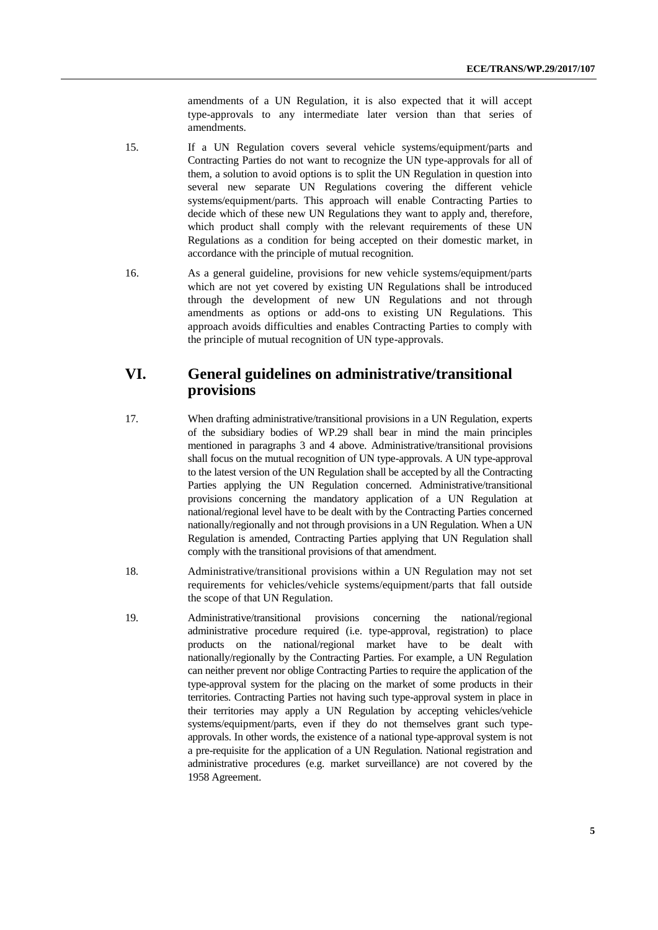amendments of a UN Regulation, it is also expected that it will accept type-approvals to any intermediate later version than that series of amendments.

- 15. If a UN Regulation covers several vehicle systems/equipment/parts and Contracting Parties do not want to recognize the UN type-approvals for all of them, a solution to avoid options is to split the UN Regulation in question into several new separate UN Regulations covering the different vehicle systems/equipment/parts. This approach will enable Contracting Parties to decide which of these new UN Regulations they want to apply and, therefore, which product shall comply with the relevant requirements of these UN Regulations as a condition for being accepted on their domestic market, in accordance with the principle of mutual recognition.
- 16. As a general guideline, provisions for new vehicle systems/equipment/parts which are not yet covered by existing UN Regulations shall be introduced through the development of new UN Regulations and not through amendments as options or add-ons to existing UN Regulations. This approach avoids difficulties and enables Contracting Parties to comply with the principle of mutual recognition of UN type-approvals.

# **VI. General guidelines on administrative/transitional provisions**

- 17. When drafting administrative/transitional provisions in a UN Regulation, experts of the subsidiary bodies of WP.29 shall bear in mind the main principles mentioned in paragraphs 3 and 4 above. Administrative/transitional provisions shall focus on the mutual recognition of UN type-approvals. A UN type-approval to the latest version of the UN Regulation shall be accepted by all the Contracting Parties applying the UN Regulation concerned. Administrative/transitional provisions concerning the mandatory application of a UN Regulation at national/regional level have to be dealt with by the Contracting Parties concerned nationally/regionally and not through provisions in a UN Regulation. When a UN Regulation is amended, Contracting Parties applying that UN Regulation shall comply with the transitional provisions of that amendment.
- 18. Administrative/transitional provisions within a UN Regulation may not set requirements for vehicles/vehicle systems/equipment/parts that fall outside the scope of that UN Regulation.
- 19. Administrative/transitional provisions concerning the national/regional administrative procedure required (i.e. type-approval, registration) to place products on the national/regional market have to be dealt with nationally/regionally by the Contracting Parties. For example, a UN Regulation can neither prevent nor oblige Contracting Parties to require the application of the type-approval system for the placing on the market of some products in their territories. Contracting Parties not having such type-approval system in place in their territories may apply a UN Regulation by accepting vehicles/vehicle systems/equipment/parts, even if they do not themselves grant such typeapprovals. In other words, the existence of a national type-approval system is not a pre-requisite for the application of a UN Regulation. National registration and administrative procedures (e.g. market surveillance) are not covered by the 1958 Agreement.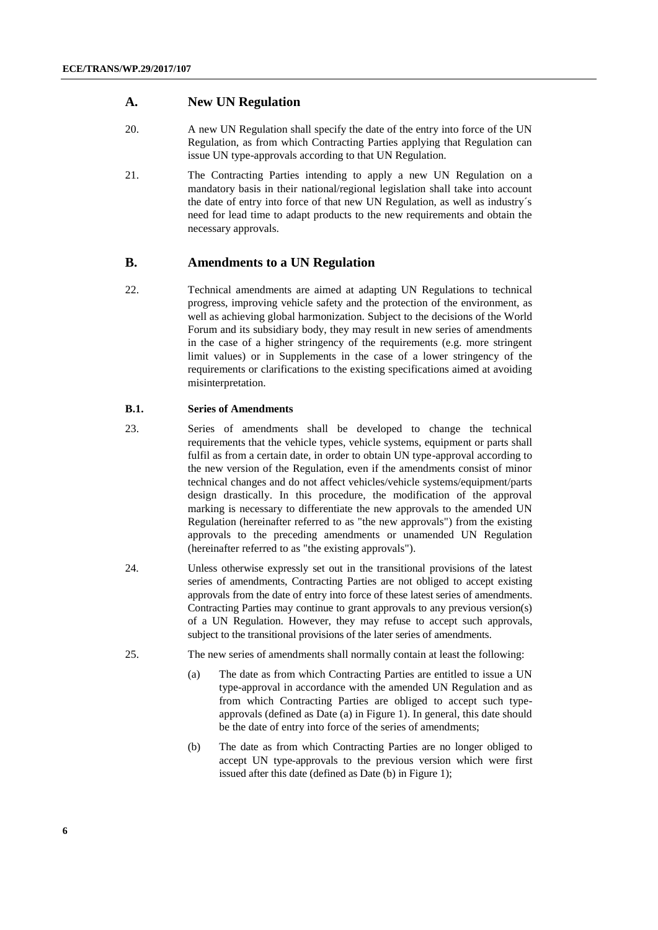### **A. New UN Regulation**

- 20. A new UN Regulation shall specify the date of the entry into force of the UN Regulation, as from which Contracting Parties applying that Regulation can issue UN type-approvals according to that UN Regulation.
- 21. The Contracting Parties intending to apply a new UN Regulation on a mandatory basis in their national/regional legislation shall take into account the date of entry into force of that new UN Regulation, as well as industry´s need for lead time to adapt products to the new requirements and obtain the necessary approvals.

#### **B. Amendments to a UN Regulation**

22. Technical amendments are aimed at adapting UN Regulations to technical progress, improving vehicle safety and the protection of the environment, as well as achieving global harmonization. Subject to the decisions of the World Forum and its subsidiary body, they may result in new series of amendments in the case of a higher stringency of the requirements (e.g. more stringent limit values) or in Supplements in the case of a lower stringency of the requirements or clarifications to the existing specifications aimed at avoiding misinterpretation.

#### **B.1. Series of Amendments**

- 23. Series of amendments shall be developed to change the technical requirements that the vehicle types, vehicle systems, equipment or parts shall fulfil as from a certain date, in order to obtain UN type-approval according to the new version of the Regulation, even if the amendments consist of minor technical changes and do not affect vehicles/vehicle systems/equipment/parts design drastically. In this procedure, the modification of the approval marking is necessary to differentiate the new approvals to the amended UN Regulation (hereinafter referred to as "the new approvals") from the existing approvals to the preceding amendments or unamended UN Regulation (hereinafter referred to as "the existing approvals").
- 24. Unless otherwise expressly set out in the transitional provisions of the latest series of amendments, Contracting Parties are not obliged to accept existing approvals from the date of entry into force of these latest series of amendments. Contracting Parties may continue to grant approvals to any previous version(s) of a UN Regulation. However, they may refuse to accept such approvals, subject to the transitional provisions of the later series of amendments.
- 25. The new series of amendments shall normally contain at least the following:
	- (a) The date as from which Contracting Parties are entitled to issue a UN type-approval in accordance with the amended UN Regulation and as from which Contracting Parties are obliged to accept such typeapprovals (defined as Date (a) in Figure 1). In general, this date should be the date of entry into force of the series of amendments;
	- (b) The date as from which Contracting Parties are no longer obliged to accept UN type-approvals to the previous version which were first issued after this date (defined as Date (b) in Figure 1);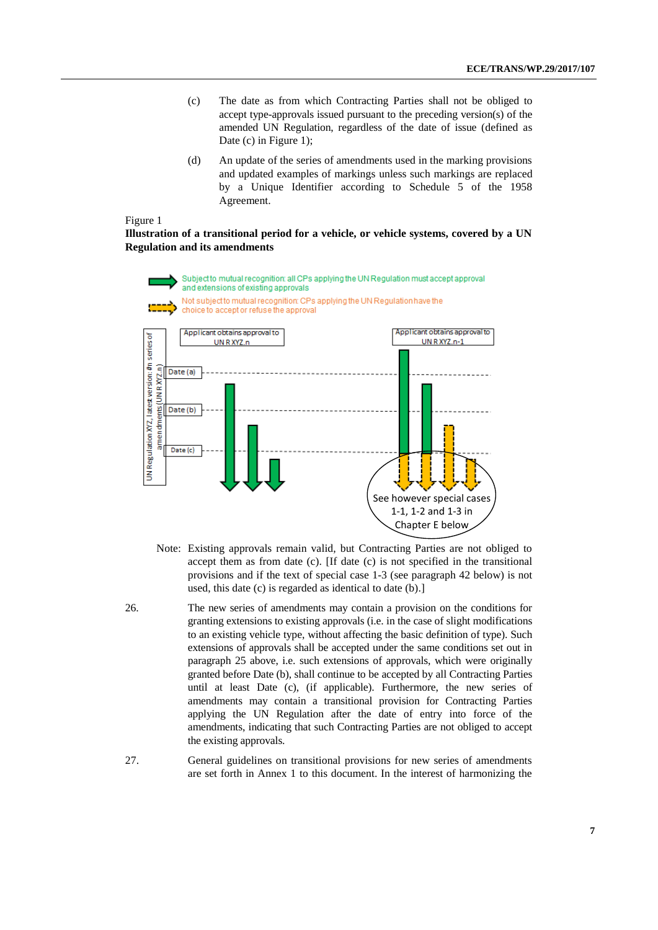- (c) The date as from which Contracting Parties shall not be obliged to accept type-approvals issued pursuant to the preceding version(s) of the amended UN Regulation, regardless of the date of issue (defined as Date (c) in Figure 1);
- (d) An update of the series of amendments used in the marking provisions and updated examples of markings unless such markings are replaced by a Unique Identifier according to Schedule 5 of the 1958 Agreement.

#### Figure 1

**Illustration of a transitional period for a vehicle, or vehicle systems, covered by a UN Regulation and its amendments**



Note: Existing approvals remain valid, but Contracting Parties are not obliged to accept them as from date (c). [If date (c) is not specified in the transitional provisions and if the text of special case 1-3 (see paragraph 42 below) is not used, this date (c) is regarded as identical to date (b).]

See however special cases 1-1, 1-2 and 1-3 in Chapter E below

- 26. The new series of amendments may contain a provision on the conditions for granting extensions to existing approvals (i.e. in the case of slight modifications to an existing vehicle type, without affecting the basic definition of type). Such extensions of approvals shall be accepted under the same conditions set out in paragraph 25 above, i.e. such extensions of approvals, which were originally granted before Date (b), shall continue to be accepted by all Contracting Parties until at least Date (c), (if applicable). Furthermore, the new series of amendments may contain a transitional provision for Contracting Parties applying the UN Regulation after the date of entry into force of the amendments, indicating that such Contracting Parties are not obliged to accept the existing approvals.
- 27. General guidelines on transitional provisions for new series of amendments are set forth in Annex 1 to this document. In the interest of harmonizing the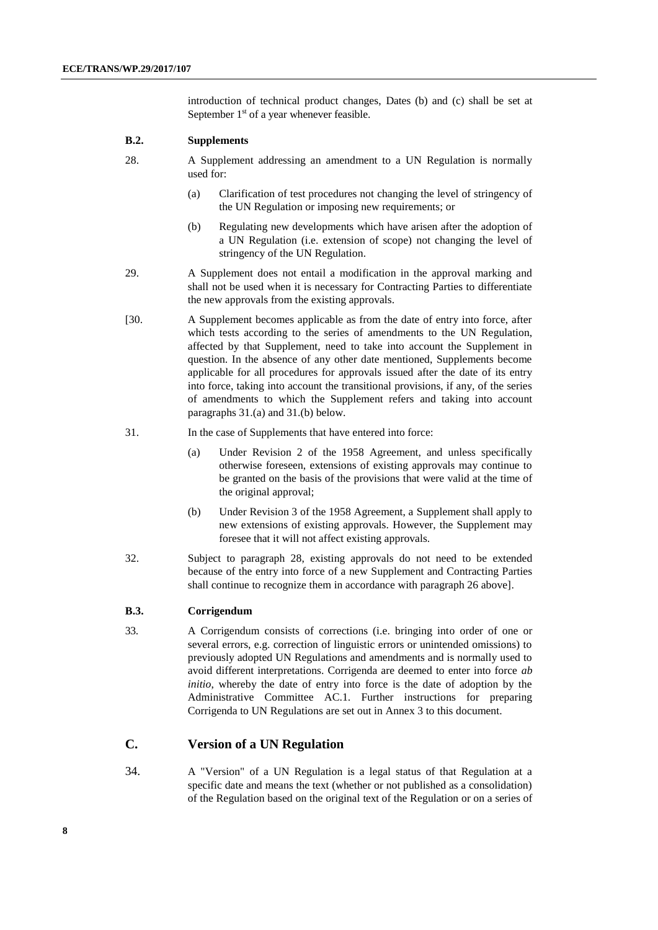introduction of technical product changes, Dates (b) and (c) shall be set at September  $1<sup>st</sup>$  of a year whenever feasible.

#### **B.2. Supplements**

- 28. A Supplement addressing an amendment to a UN Regulation is normally used for:
	- (a) Clarification of test procedures not changing the level of stringency of the UN Regulation or imposing new requirements; or
	- (b) Regulating new developments which have arisen after the adoption of a UN Regulation (i.e. extension of scope) not changing the level of stringency of the UN Regulation.
- 29. A Supplement does not entail a modification in the approval marking and shall not be used when it is necessary for Contracting Parties to differentiate the new approvals from the existing approvals.
- [30. A Supplement becomes applicable as from the date of entry into force, after which tests according to the series of amendments to the UN Regulation, affected by that Supplement, need to take into account the Supplement in question. In the absence of any other date mentioned, Supplements become applicable for all procedures for approvals issued after the date of its entry into force, taking into account the transitional provisions, if any, of the series of amendments to which the Supplement refers and taking into account paragraphs 31.(a) and 31.(b) below.
- 31. In the case of Supplements that have entered into force:
	- (a) Under Revision 2 of the 1958 Agreement, and unless specifically otherwise foreseen, extensions of existing approvals may continue to be granted on the basis of the provisions that were valid at the time of the original approval;
	- (b) Under Revision 3 of the 1958 Agreement, a Supplement shall apply to new extensions of existing approvals. However, the Supplement may foresee that it will not affect existing approvals.
- 32. Subject to paragraph 28, existing approvals do not need to be extended because of the entry into force of a new Supplement and Contracting Parties shall continue to recognize them in accordance with paragraph 26 above].

#### **B.3. Corrigendum**

33. A Corrigendum consists of corrections (i.e. bringing into order of one or several errors, e.g. correction of linguistic errors or unintended omissions) to previously adopted UN Regulations and amendments and is normally used to avoid different interpretations. Corrigenda are deemed to enter into force *ab initio*, whereby the date of entry into force is the date of adoption by the Administrative Committee AC.1. Further instructions for preparing Corrigenda to UN Regulations are set out in Annex 3 to this document.

### **C. Version of a UN Regulation**

34. A "Version" of a UN Regulation is a legal status of that Regulation at a specific date and means the text (whether or not published as a consolidation) of the Regulation based on the original text of the Regulation or on a series of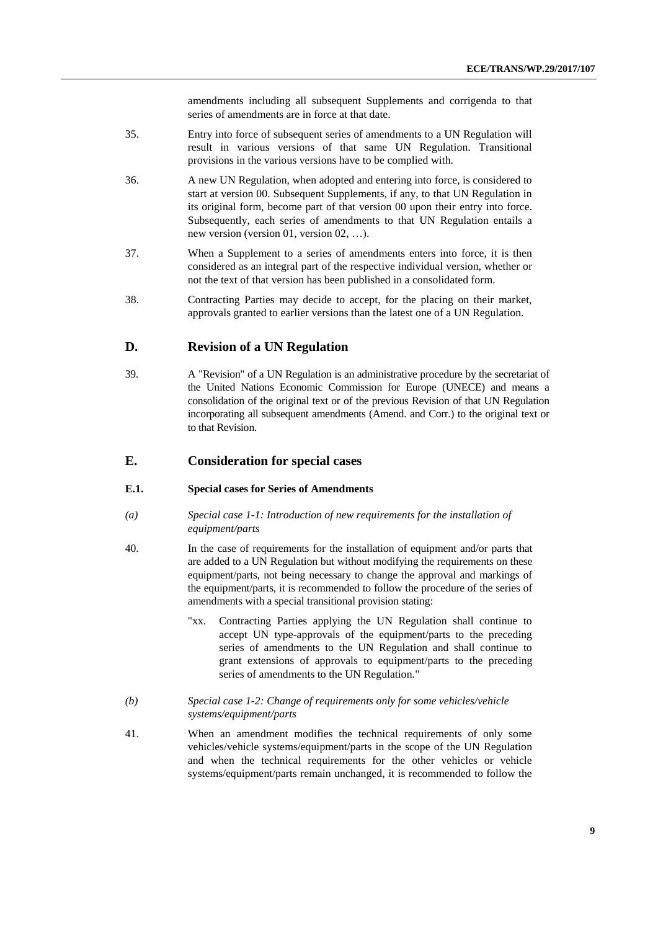amendments including all subsequent Supplements and corrigenda to that series of amendments are in force at that date.

- 35. Entry into force of subsequent series of amendments to a UN Regulation will result in various versions of that same UN Regulation. Transitional provisions in the various versions have to be complied with.
- 36. A new UN Regulation, when adopted and entering into force, is considered to start at version 00. Subsequent Supplements, if any, to that UN Regulation in its original form, become part of that version 00 upon their entry into force. Subsequently, each series of amendments to that UN Regulation entails a new version (version 01, version 02, …).
- 37. When a Supplement to a series of amendments enters into force, it is then considered as an integral part of the respective individual version, whether or not the text of that version has been published in a consolidated form.
- 38. Contracting Parties may decide to accept, for the placing on their market, approvals granted to earlier versions than the latest one of a UN Regulation.

#### **D. Revision of a UN Regulation**

39. A "Revision" of a UN Regulation is an administrative procedure by the secretariat of the United Nations Economic Commission for Europe (UNECE) and means a consolidation of the original text or of the previous Revision of that UN Regulation incorporating all subsequent amendments (Amend. and Corr.) to the original text or to that Revision.

#### **E. Consideration for special cases**

#### **E.1. Special cases for Series of Amendments**

- *(a) Special case 1-1: Introduction of new requirements for the installation of equipment/parts*
- 40. In the case of requirements for the installation of equipment and/or parts that are added to a UN Regulation but without modifying the requirements on these equipment/parts, not being necessary to change the approval and markings of the equipment/parts, it is recommended to follow the procedure of the series of amendments with a special transitional provision stating:
	- "xx. Contracting Parties applying the UN Regulation shall continue to accept UN type-approvals of the equipment/parts to the preceding series of amendments to the UN Regulation and shall continue to grant extensions of approvals to equipment/parts to the preceding series of amendments to the UN Regulation."
- *(b) Special case 1-2: Change of requirements only for some vehicles/vehicle systems/equipment/parts*
- 41. When an amendment modifies the technical requirements of only some vehicles/vehicle systems/equipment/parts in the scope of the UN Regulation and when the technical requirements for the other vehicles or vehicle systems/equipment/parts remain unchanged, it is recommended to follow the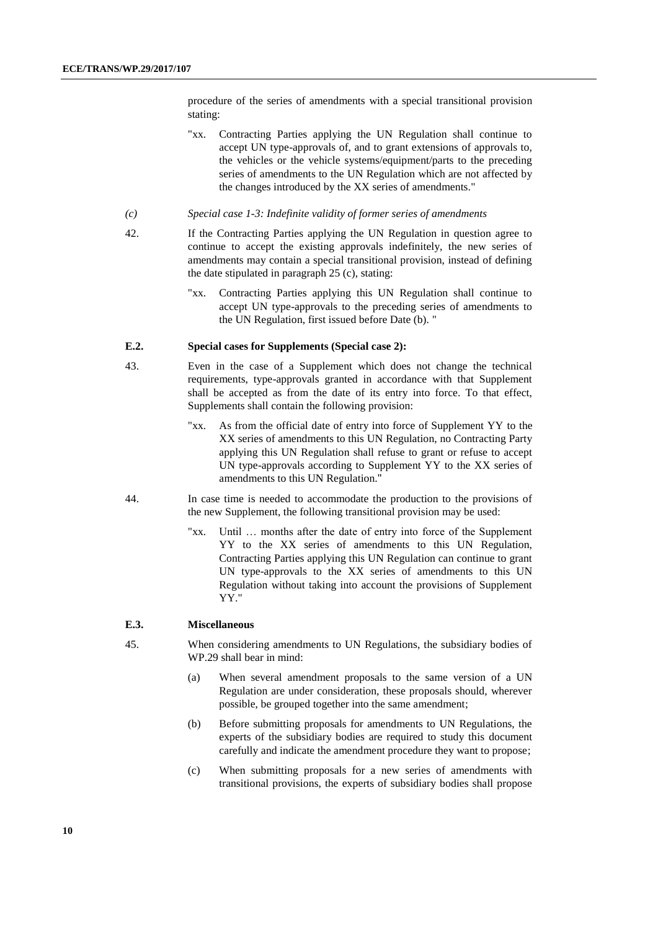procedure of the series of amendments with a special transitional provision stating:

"xx. Contracting Parties applying the UN Regulation shall continue to accept UN type-approvals of, and to grant extensions of approvals to, the vehicles or the vehicle systems/equipment/parts to the preceding series of amendments to the UN Regulation which are not affected by the changes introduced by the XX series of amendments."

#### *(c) Special case 1-3: Indefinite validity of former series of amendments*

- 42. If the Contracting Parties applying the UN Regulation in question agree to continue to accept the existing approvals indefinitely, the new series of amendments may contain a special transitional provision, instead of defining the date stipulated in paragraph 25 (c), stating:
	- "xx. Contracting Parties applying this UN Regulation shall continue to accept UN type-approvals to the preceding series of amendments to the UN Regulation, first issued before Date (b). "

#### **E.2. Special cases for Supplements (Special case 2):**

- 43. Even in the case of a Supplement which does not change the technical requirements, type-approvals granted in accordance with that Supplement shall be accepted as from the date of its entry into force. To that effect, Supplements shall contain the following provision:
	- "xx. As from the official date of entry into force of Supplement YY to the XX series of amendments to this UN Regulation, no Contracting Party applying this UN Regulation shall refuse to grant or refuse to accept UN type-approvals according to Supplement YY to the XX series of amendments to this UN Regulation."
- 44. In case time is needed to accommodate the production to the provisions of the new Supplement, the following transitional provision may be used:
	- "xx. Until … months after the date of entry into force of the Supplement YY to the XX series of amendments to this UN Regulation, Contracting Parties applying this UN Regulation can continue to grant UN type-approvals to the XX series of amendments to this UN Regulation without taking into account the provisions of Supplement YY."

#### **E.3. Miscellaneous**

- 45. When considering amendments to UN Regulations, the subsidiary bodies of WP.29 shall bear in mind:
	- (a) When several amendment proposals to the same version of a UN Regulation are under consideration, these proposals should, wherever possible, be grouped together into the same amendment;
	- (b) Before submitting proposals for amendments to UN Regulations, the experts of the subsidiary bodies are required to study this document carefully and indicate the amendment procedure they want to propose;
	- (c) When submitting proposals for a new series of amendments with transitional provisions, the experts of subsidiary bodies shall propose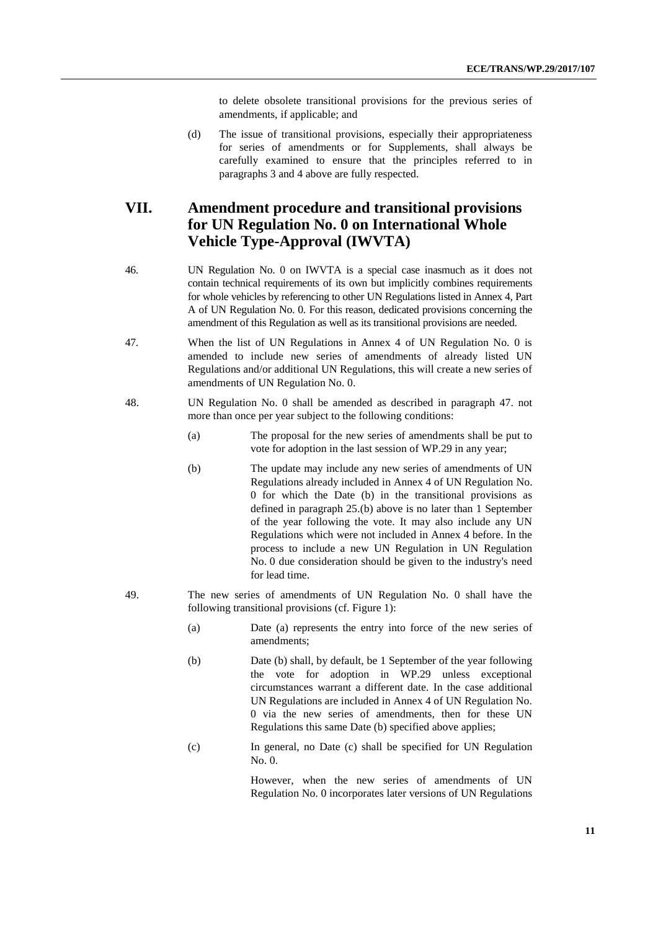to delete obsolete transitional provisions for the previous series of amendments, if applicable; and

(d) The issue of transitional provisions, especially their appropriateness for series of amendments or for Supplements, shall always be carefully examined to ensure that the principles referred to in paragraphs 3 and 4 above are fully respected.

# **VII. Amendment procedure and transitional provisions for UN Regulation No. 0 on International Whole Vehicle Type-Approval (IWVTA)**

- 46. UN Regulation No. 0 on IWVTA is a special case inasmuch as it does not contain technical requirements of its own but implicitly combines requirements for whole vehicles by referencing to other UN Regulations listed in Annex 4, Part A of UN Regulation No. 0. For this reason, dedicated provisions concerning the amendment of this Regulation as well as its transitional provisions are needed.
- 47. When the list of UN Regulations in Annex 4 of UN Regulation No. 0 is amended to include new series of amendments of already listed UN Regulations and/or additional UN Regulations, this will create a new series of amendments of UN Regulation No. 0.
- 48. UN Regulation No. 0 shall be amended as described in paragraph 47. not more than once per year subject to the following conditions:
	- (a) The proposal for the new series of amendments shall be put to vote for adoption in the last session of WP.29 in any year;
	- (b) The update may include any new series of amendments of UN Regulations already included in Annex 4 of UN Regulation No. 0 for which the Date (b) in the transitional provisions as defined in paragraph 25.(b) above is no later than 1 September of the year following the vote. It may also include any UN Regulations which were not included in Annex 4 before. In the process to include a new UN Regulation in UN Regulation No. 0 due consideration should be given to the industry's need for lead time.
- 49. The new series of amendments of UN Regulation No. 0 shall have the following transitional provisions (cf. Figure 1):
	- (a) Date (a) represents the entry into force of the new series of amendments;
	- (b) Date (b) shall, by default, be 1 September of the year following the vote for adoption in WP.29 unless exceptional circumstances warrant a different date. In the case additional UN Regulations are included in Annex 4 of UN Regulation No. 0 via the new series of amendments, then for these UN Regulations this same Date (b) specified above applies;
	- (c) In general, no Date (c) shall be specified for UN Regulation  $No. 0.$

However, when the new series of amendments of UN Regulation No. 0 incorporates later versions of UN Regulations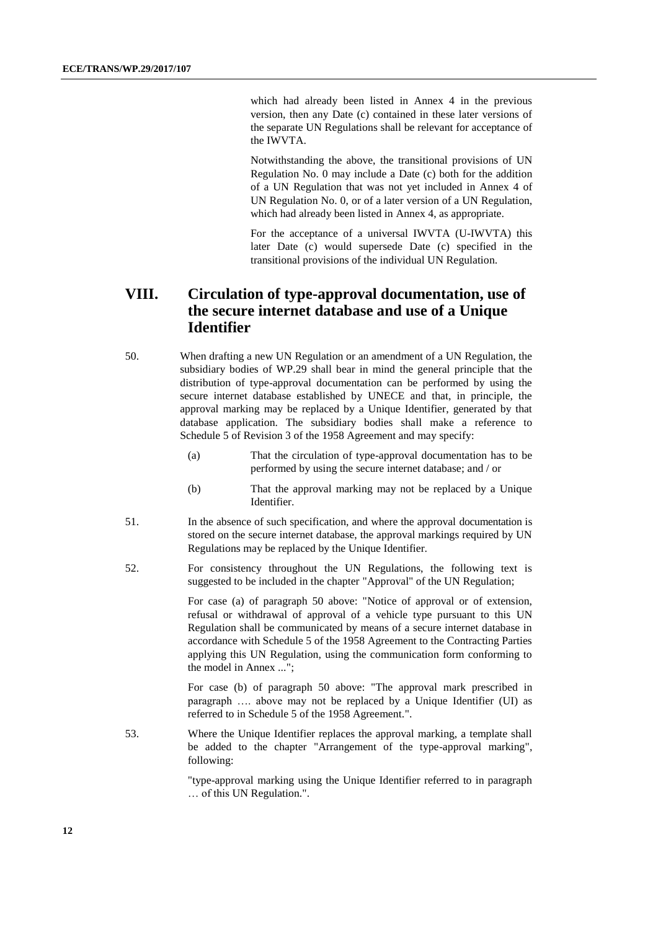which had already been listed in Annex 4 in the previous version, then any Date (c) contained in these later versions of the separate UN Regulations shall be relevant for acceptance of the IWVTA.

Notwithstanding the above, the transitional provisions of UN Regulation No. 0 may include a Date (c) both for the addition of a UN Regulation that was not yet included in Annex 4 of UN Regulation No. 0, or of a later version of a UN Regulation, which had already been listed in Annex 4, as appropriate.

For the acceptance of a universal IWVTA (U-IWVTA) this later Date (c) would supersede Date (c) specified in the transitional provisions of the individual UN Regulation.

# **VIII. Circulation of type-approval documentation, use of the secure internet database and use of a Unique Identifier**

- 50. When drafting a new UN Regulation or an amendment of a UN Regulation, the subsidiary bodies of WP.29 shall bear in mind the general principle that the distribution of type-approval documentation can be performed by using the secure internet database established by UNECE and that, in principle, the approval marking may be replaced by a Unique Identifier, generated by that database application. The subsidiary bodies shall make a reference to Schedule 5 of Revision 3 of the 1958 Agreement and may specify:
	- (a) That the circulation of type-approval documentation has to be performed by using the secure internet database; and / or
	- (b) That the approval marking may not be replaced by a Unique Identifier.
- 51. In the absence of such specification, and where the approval documentation is stored on the secure internet database, the approval markings required by UN Regulations may be replaced by the Unique Identifier.
- 52. For consistency throughout the UN Regulations, the following text is suggested to be included in the chapter "Approval" of the UN Regulation;

For case (a) of paragraph 50 above: "Notice of approval or of extension, refusal or withdrawal of approval of a vehicle type pursuant to this UN Regulation shall be communicated by means of a secure internet database in accordance with Schedule 5 of the 1958 Agreement to the Contracting Parties applying this UN Regulation, using the communication form conforming to the model in Annex ...";

For case (b) of paragraph 50 above: "The approval mark prescribed in paragraph …. above may not be replaced by a Unique Identifier (UI) as referred to in Schedule 5 of the 1958 Agreement.".

53. Where the Unique Identifier replaces the approval marking, a template shall be added to the chapter "Arrangement of the type-approval marking", following:

> "type-approval marking using the Unique Identifier referred to in paragraph … of this UN Regulation.".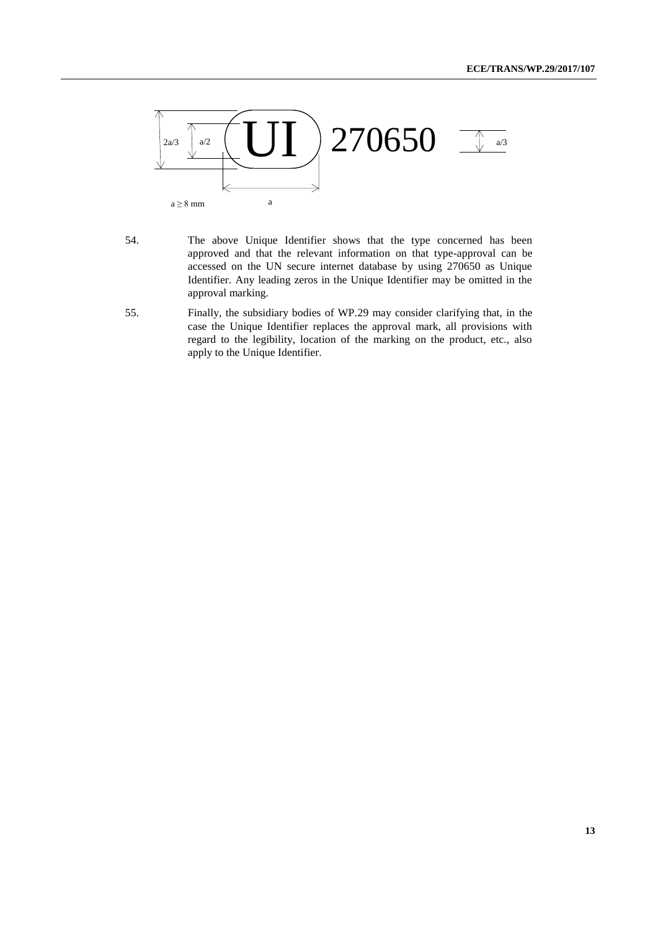

54. The above Unique Identifier shows that the type concerned has been approved and that the relevant information on that type-approval can be accessed on the UN secure internet database by using 270650 as Unique Identifier. Any leading zeros in the Unique Identifier may be omitted in the approval marking.

55. Finally, the subsidiary bodies of WP.29 may consider clarifying that, in the case the Unique Identifier replaces the approval mark, all provisions with regard to the legibility, location of the marking on the product, etc., also apply to the Unique Identifier.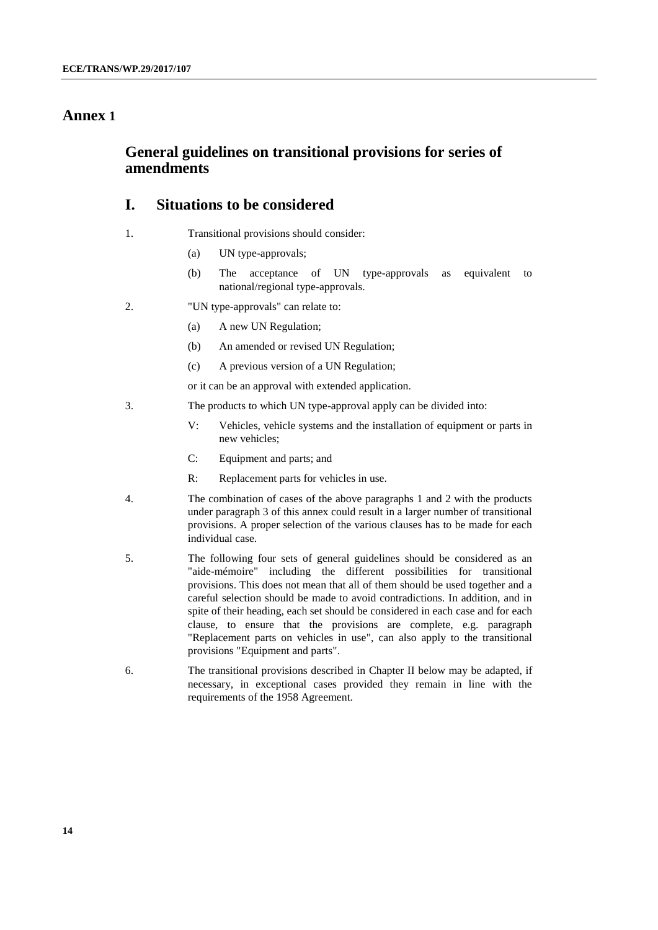### **Annex 1**

### **General guidelines on transitional provisions for series of amendments**

# **I. Situations to be considered**

- 1. Transitional provisions should consider:
	- (a) UN type-approvals;
	- (b) The acceptance of UN type-approvals as equivalent to national/regional type-approvals.
- 2. "UN type-approvals" can relate to:
	- (a) A new UN Regulation;
	- (b) An amended or revised UN Regulation;
	- (c) A previous version of a UN Regulation;

or it can be an approval with extended application.

- 3. The products to which UN type-approval apply can be divided into:
	- V: Vehicles, vehicle systems and the installation of equipment or parts in new vehicles;
	- C: Equipment and parts; and
	- R: Replacement parts for vehicles in use.
- 4. The combination of cases of the above paragraphs 1 and 2 with the products under paragraph 3 of this annex could result in a larger number of transitional provisions. A proper selection of the various clauses has to be made for each individual case.
- 5. The following four sets of general guidelines should be considered as an "aide-mémoire" including the different possibilities for transitional provisions. This does not mean that all of them should be used together and a careful selection should be made to avoid contradictions. In addition, and in spite of their heading, each set should be considered in each case and for each clause, to ensure that the provisions are complete, e.g. paragraph "Replacement parts on vehicles in use", can also apply to the transitional provisions "Equipment and parts".
- 6. The transitional provisions described in Chapter II below may be adapted, if necessary, in exceptional cases provided they remain in line with the requirements of the 1958 Agreement.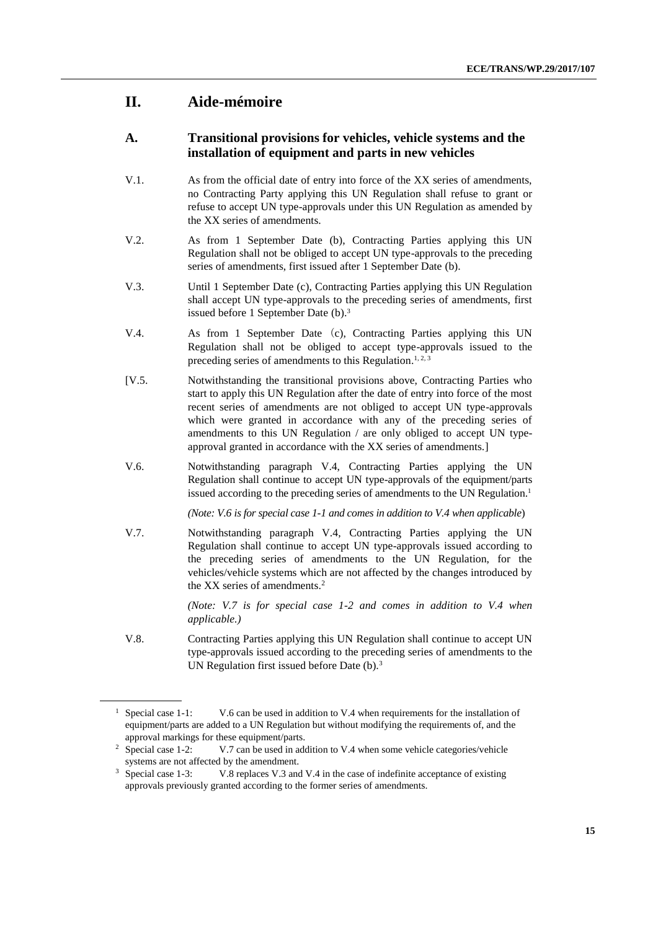### **II. Aide-mémoire**

### **A. Transitional provisions for vehicles, vehicle systems and the installation of equipment and parts in new vehicles**

- V.1. As from the official date of entry into force of the XX series of amendments, no Contracting Party applying this UN Regulation shall refuse to grant or refuse to accept UN type-approvals under this UN Regulation as amended by the XX series of amendments.
- V.2. As from 1 September Date (b), Contracting Parties applying this UN Regulation shall not be obliged to accept UN type-approvals to the preceding series of amendments, first issued after 1 September Date (b).
- V.3. Until 1 September Date (c), Contracting Parties applying this UN Regulation shall accept UN type-approvals to the preceding series of amendments, first issued before 1 September Date (b). 3
- V.4. As from 1 September Date (c), Contracting Parties applying this UN Regulation shall not be obliged to accept type-approvals issued to the preceding series of amendments to this Regulation.<sup>1, 2, 3</sup>
- [V.5. Notwithstanding the transitional provisions above, Contracting Parties who start to apply this UN Regulation after the date of entry into force of the most recent series of amendments are not obliged to accept UN type-approvals which were granted in accordance with any of the preceding series of amendments to this UN Regulation / are only obliged to accept UN typeapproval granted in accordance with the XX series of amendments.]
- V.6. Notwithstanding paragraph V.4, Contracting Parties applying the UN Regulation shall continue to accept UN type-approvals of the equipment/parts issued according to the preceding series of amendments to the UN Regulation. 1

*(Note: V.6 is for special case 1-1 and comes in addition to V.4 when applicable*)

V.7. Notwithstanding paragraph V.4, Contracting Parties applying the UN Regulation shall continue to accept UN type-approvals issued according to the preceding series of amendments to the UN Regulation, for the vehicles/vehicle systems which are not affected by the changes introduced by the XX series of amendments. 2

> *(Note: V.7 is for special case 1-2 and comes in addition to V.4 when applicable.)*

V.8. Contracting Parties applying this UN Regulation shall continue to accept UN type-approvals issued according to the preceding series of amendments to the UN Regulation first issued before Date (b).<sup>3</sup>

<sup>&</sup>lt;sup>1</sup> Special case 1-1: V.6 can be used in addition to V.4 when requirements for the installation of equipment/parts are added to a UN Regulation but without modifying the requirements of, and the approval markings for these equipment/parts.

<sup>&</sup>lt;sup>2</sup> Special case 1-2: V.7 can be used in addition to V.4 when some vehicle categories/vehicle systems are not affected by the amendment.

<sup>&</sup>lt;sup>3</sup> Special case 1-3: V.8 replaces V.3 and V.4 in the case of indefinite acceptance of existing approvals previously granted according to the former series of amendments.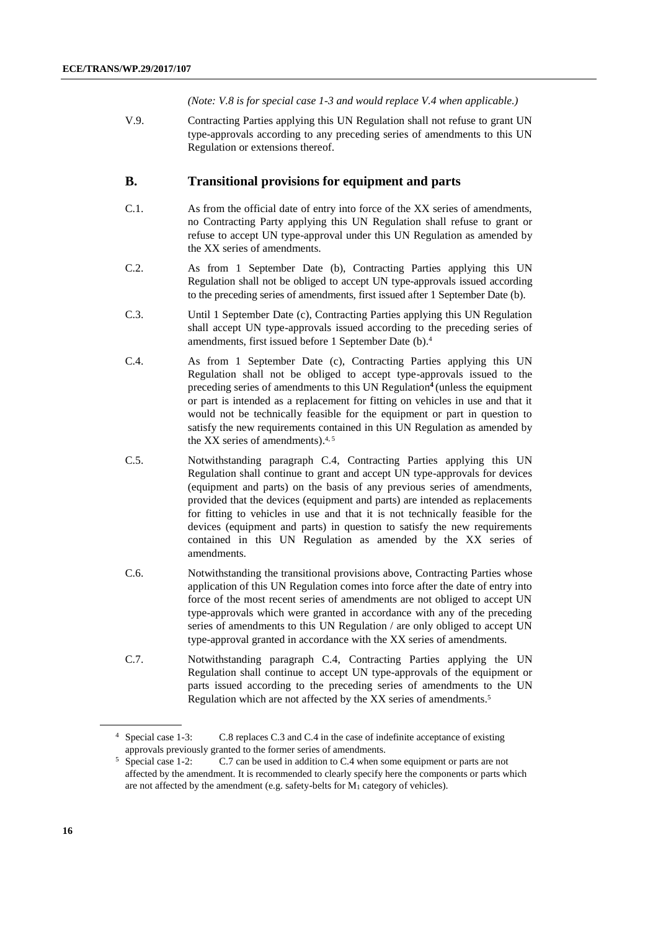*(Note: V.8 is for special case 1-3 and would replace V.4 when applicable.)*

V.9. Contracting Parties applying this UN Regulation shall not refuse to grant UN type-approvals according to any preceding series of amendments to this UN Regulation or extensions thereof.

#### **B. Transitional provisions for equipment and parts**

- C.1. As from the official date of entry into force of the XX series of amendments, no Contracting Party applying this UN Regulation shall refuse to grant or refuse to accept UN type-approval under this UN Regulation as amended by the XX series of amendments.
- C.2. As from 1 September Date (b), Contracting Parties applying this UN Regulation shall not be obliged to accept UN type-approvals issued according to the preceding series of amendments, first issued after 1 September Date (b).
- C.3. Until 1 September Date (c), Contracting Parties applying this UN Regulation shall accept UN type-approvals issued according to the preceding series of amendments, first issued before 1 September Date (b). 4
- C.4. As from 1 September Date (c), Contracting Parties applying this UN Regulation shall not be obliged to accept type-approvals issued to the preceding series of amendments to this UN Regulation**<sup>4</sup>**(unless the equipment or part is intended as a replacement for fitting on vehicles in use and that it would not be technically feasible for the equipment or part in question to satisfy the new requirements contained in this UN Regulation as amended by the XX series of amendments). 4, 5
- C.5. Notwithstanding paragraph C.4, Contracting Parties applying this UN Regulation shall continue to grant and accept UN type-approvals for devices (equipment and parts) on the basis of any previous series of amendments, provided that the devices (equipment and parts) are intended as replacements for fitting to vehicles in use and that it is not technically feasible for the devices (equipment and parts) in question to satisfy the new requirements contained in this UN Regulation as amended by the XX series of amendments.
- C.6. Notwithstanding the transitional provisions above, Contracting Parties whose application of this UN Regulation comes into force after the date of entry into force of the most recent series of amendments are not obliged to accept UN type-approvals which were granted in accordance with any of the preceding series of amendments to this UN Regulation / are only obliged to accept UN type-approval granted in accordance with the XX series of amendments.
- C.7. Notwithstanding paragraph C.4, Contracting Parties applying the UN Regulation shall continue to accept UN type-approvals of the equipment or parts issued according to the preceding series of amendments to the UN Regulation which are not affected by the XX series of amendments.<sup>5</sup>

<sup>4</sup> Special case 1-3: C.8 replaces C.3 and C.4 in the case of indefinite acceptance of existing approvals previously granted to the former series of amendments.

<sup>5</sup> Special case 1-2: C.7 can be used in addition to C.4 when some equipment or parts are not affected by the amendment. It is recommended to clearly specify here the components or parts which are not affected by the amendment (e.g. safety-belts for M<sup>1</sup> category of vehicles).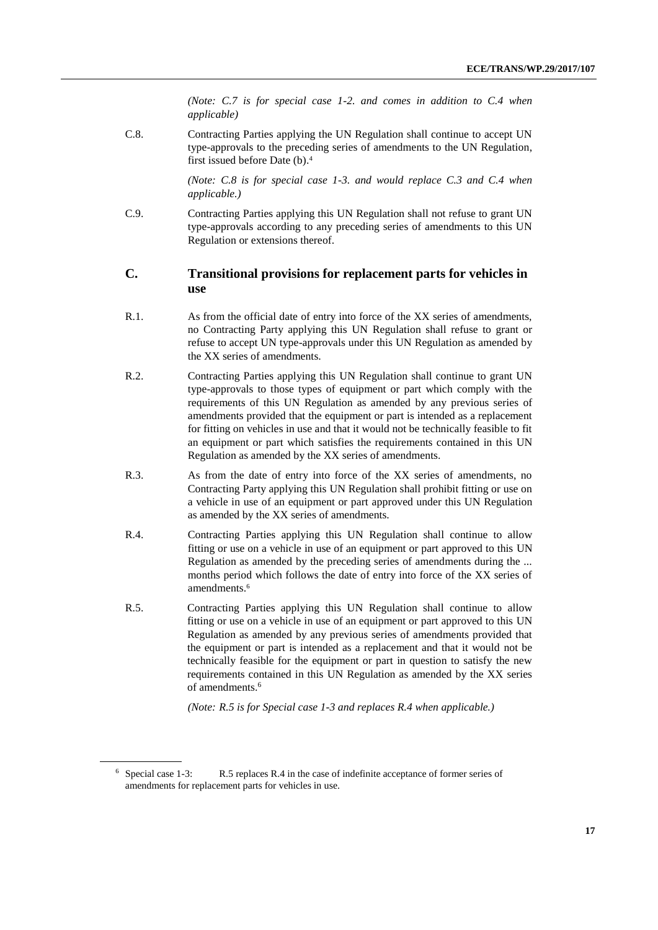*(Note: C.7 is for special case 1-2. and comes in addition to C.4 when applicable)*

C.8. Contracting Parties applying the UN Regulation shall continue to accept UN type-approvals to the preceding series of amendments to the UN Regulation, first issued before Date (b). 4

> *(Note: C.8 is for special case 1-3. and would replace C.3 and C.4 when applicable.)*

C.9. Contracting Parties applying this UN Regulation shall not refuse to grant UN type-approvals according to any preceding series of amendments to this UN Regulation or extensions thereof.

### **C. Transitional provisions for replacement parts for vehicles in use**

- R.1. As from the official date of entry into force of the XX series of amendments, no Contracting Party applying this UN Regulation shall refuse to grant or refuse to accept UN type-approvals under this UN Regulation as amended by the XX series of amendments.
- R.2. Contracting Parties applying this UN Regulation shall continue to grant UN type-approvals to those types of equipment or part which comply with the requirements of this UN Regulation as amended by any previous series of amendments provided that the equipment or part is intended as a replacement for fitting on vehicles in use and that it would not be technically feasible to fit an equipment or part which satisfies the requirements contained in this UN Regulation as amended by the XX series of amendments.
- R.3. As from the date of entry into force of the XX series of amendments, no Contracting Party applying this UN Regulation shall prohibit fitting or use on a vehicle in use of an equipment or part approved under this UN Regulation as amended by the XX series of amendments.
- R.4. Contracting Parties applying this UN Regulation shall continue to allow fitting or use on a vehicle in use of an equipment or part approved to this UN Regulation as amended by the preceding series of amendments during the ... months period which follows the date of entry into force of the XX series of amendments. 6
- R.5. Contracting Parties applying this UN Regulation shall continue to allow fitting or use on a vehicle in use of an equipment or part approved to this UN Regulation as amended by any previous series of amendments provided that the equipment or part is intended as a replacement and that it would not be technically feasible for the equipment or part in question to satisfy the new requirements contained in this UN Regulation as amended by the XX series of amendments. 6

*(Note: R.5 is for Special case 1-3 and replaces R.4 when applicable.)*

<sup>6</sup> Special case 1-3: R.5 replaces R.4 in the case of indefinite acceptance of former series of amendments for replacement parts for vehicles in use.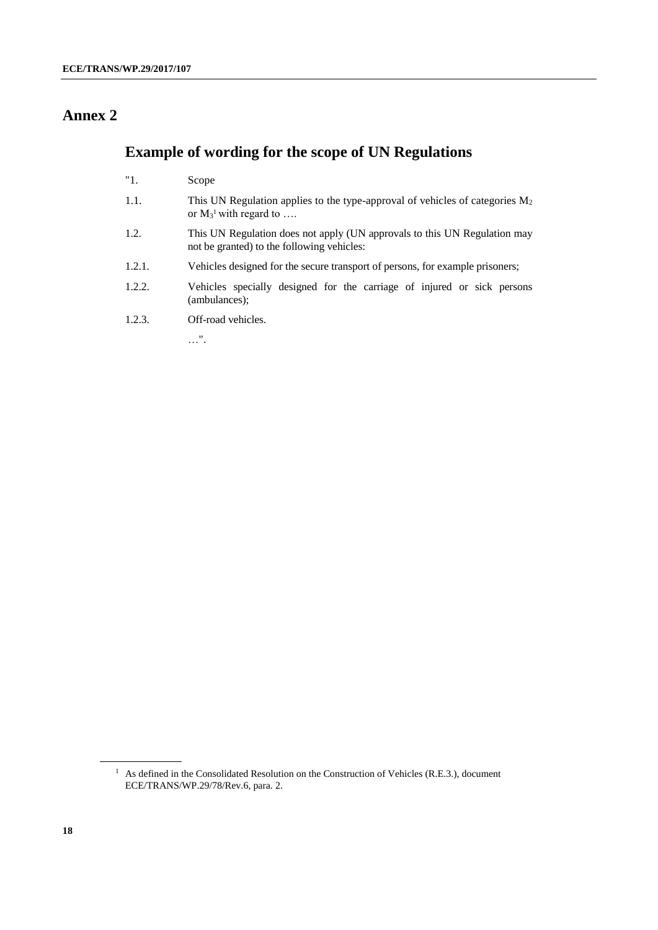# **Annex 2**

# **Example of wording for the scope of UN Regulations**

- "1. Scope
- 1.1. This UN Regulation applies to the type-approval of vehicles of categories  $M_2$ or  $M_3$ <sup>1</sup> with regard to ....
- 1.2. This UN Regulation does not apply (UN approvals to this UN Regulation may not be granted) to the following vehicles:
- 1.2.1. Vehicles designed for the secure transport of persons, for example prisoners;
- 1.2.2. Vehicles specially designed for the carriage of injured or sick persons (ambulances);
- 1.2.3. Off-road vehicles.

…".

<sup>&</sup>lt;sup>1</sup> As defined in the Consolidated Resolution on the Construction of Vehicles (R.E.3.), document ECE/TRANS/WP.29/78/Rev.6, para. 2.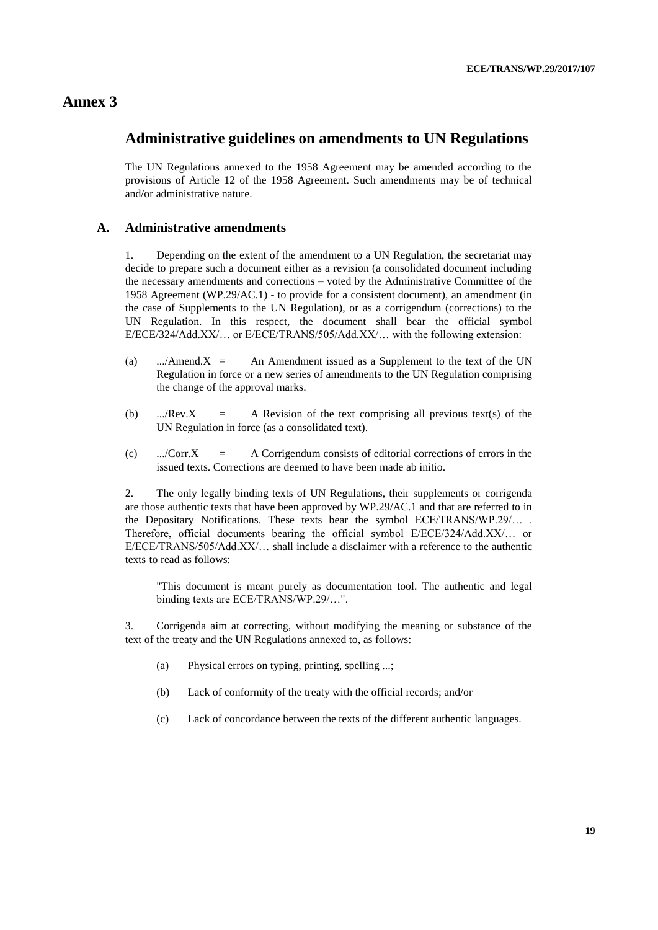### **Annex 3**

### **Administrative guidelines on amendments to UN Regulations**

The UN Regulations annexed to the 1958 Agreement may be amended according to the provisions of Article 12 of the 1958 Agreement. Such amendments may be of technical and/or administrative nature.

#### **A. Administrative amendments**

1. Depending on the extent of the amendment to a UN Regulation, the secretariat may decide to prepare such a document either as a revision (a consolidated document including the necessary amendments and corrections – voted by the Administrative Committee of the 1958 Agreement (WP.29/AC.1) - to provide for a consistent document), an amendment (in the case of Supplements to the UN Regulation), or as a corrigendum (corrections) to the UN Regulation. In this respect, the document shall bear the official symbol E/ECE/324/Add.XX/… or E/ECE/TRANS/505/Add.XX/… with the following extension:

- (a) .../Amend. $X =$  An Amendment issued as a Supplement to the text of the UN Regulation in force or a new series of amendments to the UN Regulation comprising the change of the approval marks.
- (b) .../Rev.X  $=$  A Revision of the text comprising all previous text(s) of the UN Regulation in force (as a consolidated text).
- (c) .../Corr.X = A Corrigendum consists of editorial corrections of errors in the issued texts. Corrections are deemed to have been made ab initio.

2. The only legally binding texts of UN Regulations, their supplements or corrigenda are those authentic texts that have been approved by WP.29/AC.1 and that are referred to in the Depositary Notifications. These texts bear the symbol ECE/TRANS/WP.29/… . Therefore, official documents bearing the official symbol E/ECE/324/Add.XX/… or  $E/ECE/TRANS/505/Add.XX/...$  shall include a disclaimer with a reference to the authentic texts to read as follows:

"This document is meant purely as documentation tool. The authentic and legal binding texts are ECE/TRANS/WP.29/…".

3. Corrigenda aim at correcting, without modifying the meaning or substance of the text of the treaty and the UN Regulations annexed to, as follows:

- (a) Physical errors on typing, printing, spelling ...;
- (b) Lack of conformity of the treaty with the official records; and/or
- (c) Lack of concordance between the texts of the different authentic languages.